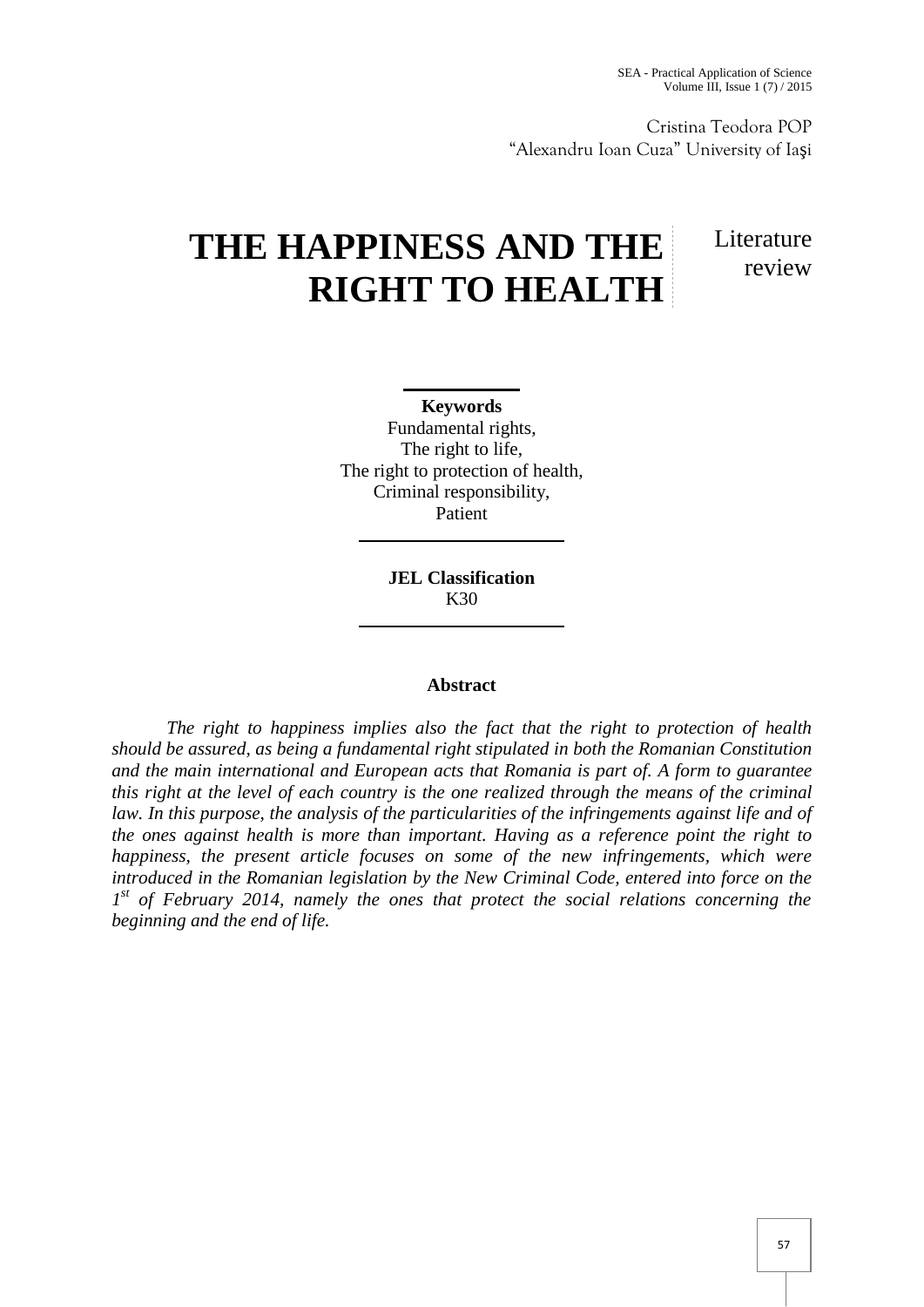Cristina Teodora POP "Alexandru Ioan Cuza" University of Ia i

## **THE HAPPINESS AND THE RIGHT TO HEALTH**

Literature review

**Keywords** Fundamental rights, The right to life, The right to protection of health, Criminal responsibility, Patient

> **JEL Classification** K30

## **Abstract**

*The right to happiness implies also the fact that the right to protection of health should be assured, as being a fundamental right stipulated in both the Romanian Constitution and the main international and European acts that Romania is part of. A form to guarantee this right at the level of each country is the one realized through the means of the criminal law. In this purpose, the analysis of the particularities of the infringements against life and of the ones against health is more than important. Having as a reference point the right to happiness, the present article focuses on some of the new infringements, which were introduced in the Romanian legislation by the New Criminal Code, entered into force on the 1 st of February 2014, namely the ones that protect the social relations concerning the beginning and the end of life.*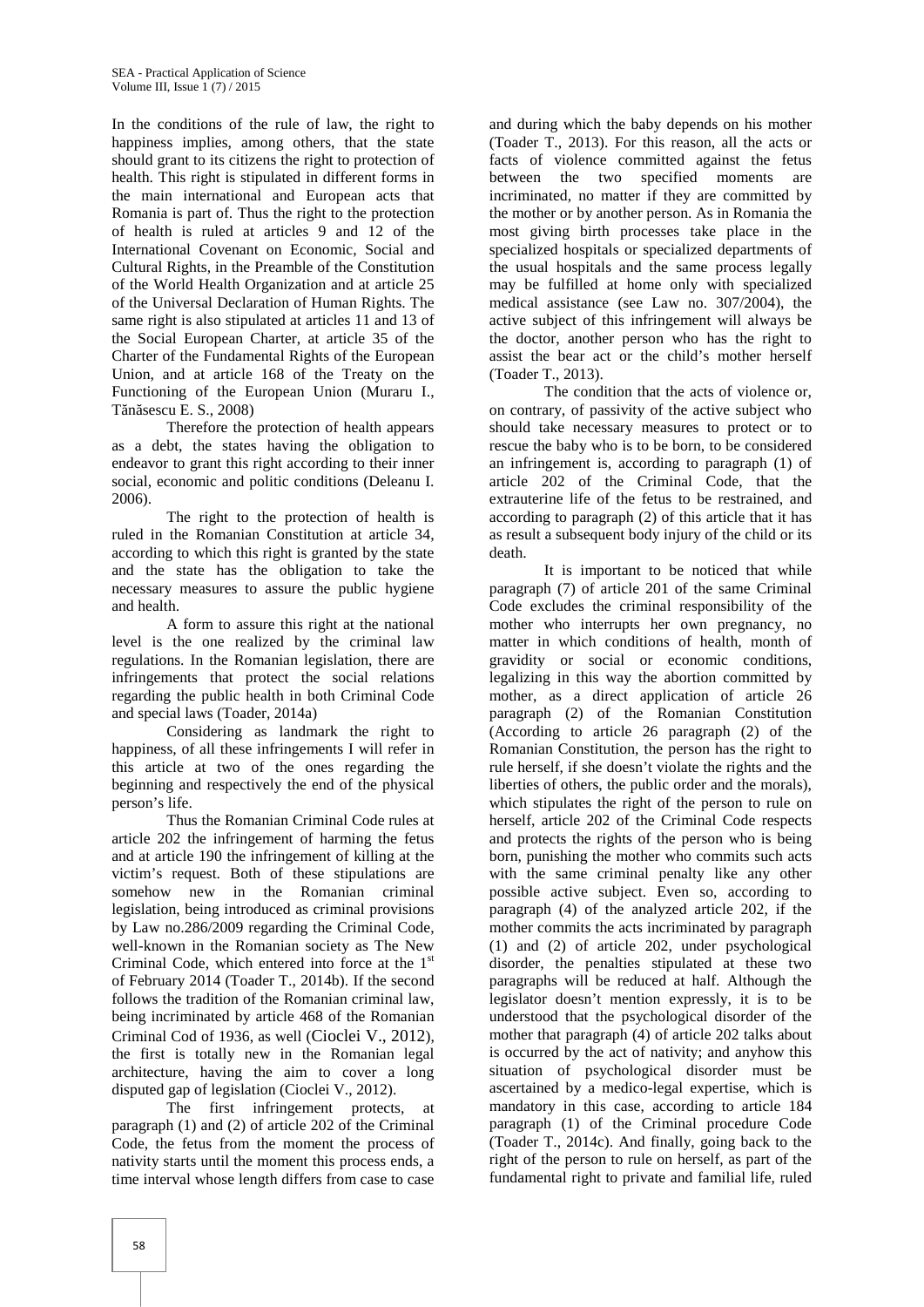In the conditions of the rule of law, the right to happiness implies, among others, that the state should grant to its citizens the right to protection of health. This right is stipulated in different forms in the main international and European acts that Romania is part of. Thus the right to the protection of health is ruled at articles 9 and 12 of the International Covenant on Economic, Social and Cultural Rights, in the Preamble of the Constitution of the World Health Organization and at article 25 of the Universal Declaration of Human Rights. The same right is also stipulated at articles 11 and 13 of the Social European Charter, at article 35 of the Charter of the Fundamental Rights of the European Union, and at article 168 of the Treaty on the Functioning of the European Union (Muraru I., T n sescu E. S., 2008)

Therefore the protection of health appears as a debt, the states having the obligation to endeavor to grant this right according to their inner social, economic and politic conditions (Deleanu I. 2006).

The right to the protection of health is ruled in the Romanian Constitution at article 34, according to which this right is granted by the state and the state has the obligation to take the necessary measures to assure the public hygiene and health.

A form to assure this right at the national level is the one realized by the criminal law regulations. In the Romanian legislation, there are infringements that protect the social relations regarding the public health in both Criminal Code and special laws (Toader, 2014a)

Considering as landmark the right to happiness, of all these infringements I will refer in this article at two of the ones regarding the beginning and respectively the end of the physical person's life.

Thus the Romanian Criminal Code rules at article 202 the infringement of harming the fetus and at article 190 the infringement of killing at the victim's request. Both of these stipulations are somehow new in the Romanian criminal legislation, being introduced as criminal provisions by Law no.286/2009 regarding the Criminal Code, well-known in the Romanian society as The New Criminal Code, which entered into force at the 1<sup>st</sup> of February 2014 (Toader T., 2014b). If the second follows the tradition of the Romanian criminal law, being incriminated by article 468 of the Romanian Criminal Cod of 1936, as well (Cioclei V., 2012), the first is totally new in the Romanian legal architecture, having the aim to cover a long disputed gap of legislation (Cioclei V., 2012).

The first infringement protects, at paragraph (1) and (2) of article 202 of the Criminal Code, the fetus from the moment the process of nativity starts until the moment this process ends, a time interval whose length differs from case to case

and during which the baby depends on his mother (Toader T., 2013). For this reason, all the acts or facts of violence committed against the fetus between the two specified moments are incriminated, no matter if they are committed by the mother or by another person. As in Romania the most giving birth processes take place in the specialized hospitals or specialized departments of the usual hospitals and the same process legally may be fulfilled at home only with specialized medical assistance (see Law no. 307/2004), the active subject of this infringement will always be the doctor, another person who has the right to assist the bear act or the child's mother herself (Toader T., 2013).

The condition that the acts of violence or, on contrary, of passivity of the active subject who should take necessary measures to protect or to rescue the baby who is to be born, to be considered an infringement is, according to paragraph (1) of article 202 of the Criminal Code, that the extrauterine life of the fetus to be restrained, and according to paragraph (2) of this article that it has as result a subsequent body injury of the child or its death.

It is important to be noticed that while paragraph (7) of article 201 of the same Criminal Code excludes the criminal responsibility of the mother who interrupts her own pregnancy, no matter in which conditions of health, month of gravidity or social or economic conditions, legalizing in this way the abortion committed by mother, as a direct application of article 26 paragraph (2) of the Romanian Constitution (According to article 26 paragraph (2) of the Romanian Constitution, the person has the right to rule herself, if she doesn't violate the rights and the liberties of others, the public order and the morals), which stipulates the right of the person to rule on herself, article 202 of the Criminal Code respects and protects the rights of the person who is being born, punishing the mother who commits such acts with the same criminal penalty like any other possible active subject. Even so, according to paragraph (4) of the analyzed article 202, if the mother commits the acts incriminated by paragraph (1) and (2) of article 202, under psychological disorder, the penalties stipulated at these two paragraphs will be reduced at half. Although the legislator doesn't mention expressly, it is to be understood that the psychological disorder of the mother that paragraph (4) of article 202 talks about is occurred by the act of nativity; and anyhow this situation of psychological disorder must be ascertained by a medico-legal expertise, which is mandatory in this case, according to article 184 paragraph (1) of the Criminal procedure Code (Toader T., 2014c). And finally, going back to the right of the person to rule on herself, as part of the fundamental right to private and familial life, ruled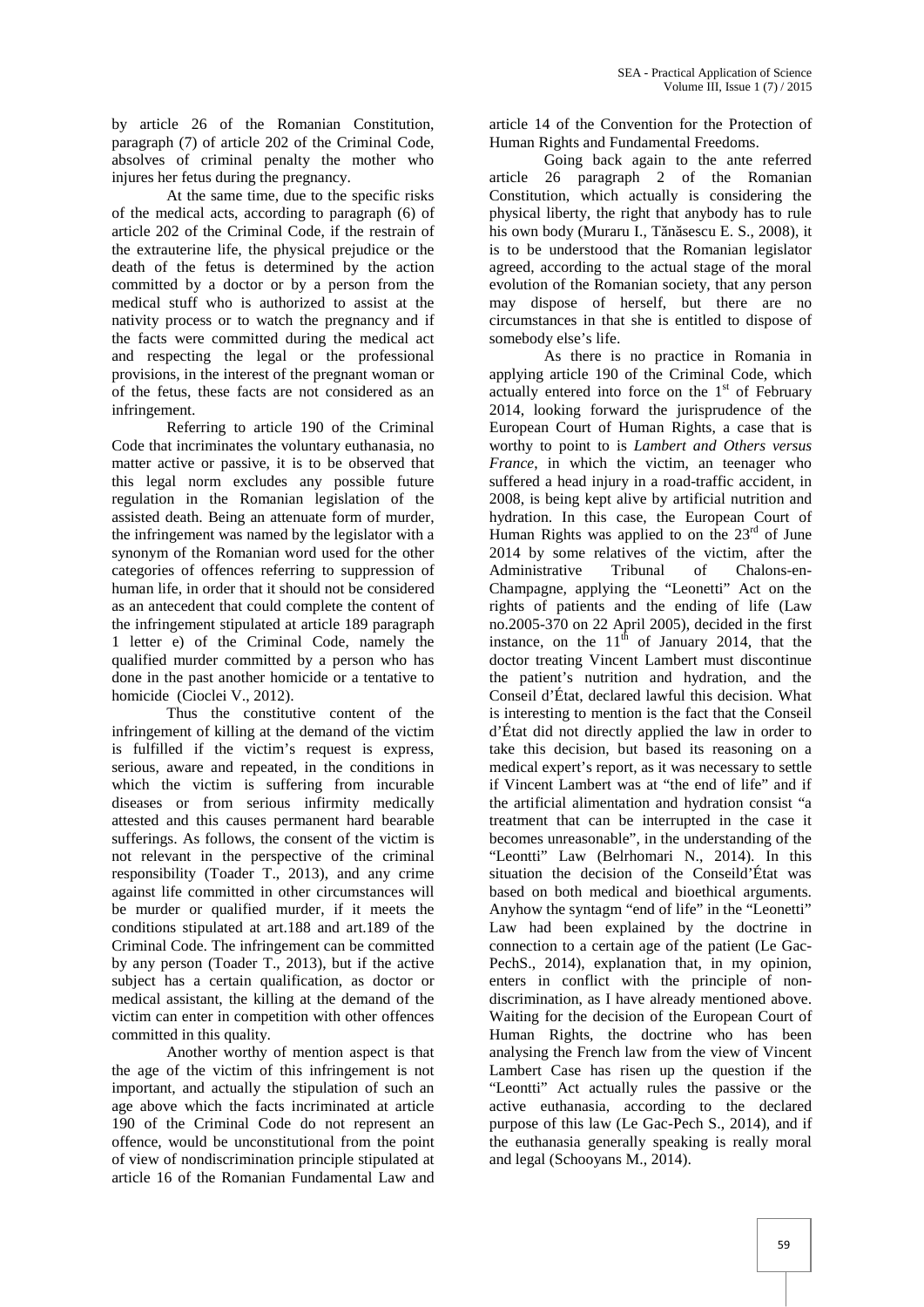by article 26 of the Romanian Constitution, paragraph (7) of article 202 of the Criminal Code, absolves of criminal penalty the mother who injures her fetus during the pregnancy.

At the same time, due to the specific risks of the medical acts, according to paragraph (6) of article 202 of the Criminal Code, if the restrain of the extrauterine life, the physical prejudice or the death of the fetus is determined by the action committed by a doctor or by a person from the medical stuff who is authorized to assist at the nativity process or to watch the pregnancy and if the facts were committed during the medical act and respecting the legal or the professional provisions, in the interest of the pregnant woman or of the fetus, these facts are not considered as an infringement.

Referring to article 190 of the Criminal Code that incriminates the voluntary euthanasia, no matter active or passive, it is to be observed that this legal norm excludes any possible future regulation in the Romanian legislation of the assisted death. Being an attenuate form of murder, the infringement was named by the legislator with a synonym of the Romanian word used for the other categories of offences referring to suppression of human life, in order that it should not be considered as an antecedent that could complete the content of the infringement stipulated at article 189 paragraph 1 letter e) of the Criminal Code, namely the qualified murder committed by a person who has done in the past another homicide or a tentative to homicide (Cioclei V., 2012).

Thus the constitutive content of the infringement of killing at the demand of the victim is fulfilled if the victim's request is express, serious, aware and repeated, in the conditions in which the victim is suffering from incurable diseases or from serious infirmity medically attested and this causes permanent hard bearable sufferings. As follows, the consent of the victim is not relevant in the perspective of the criminal responsibility (Toader T., 2013), and any crime against life committed in other circumstances will be murder or qualified murder, if it meets the conditions stipulated at art.188 and art.189 of the Criminal Code. The infringement can be committed by any person (Toader T., 2013), but if the active subject has a certain qualification, as doctor or medical assistant, the killing at the demand of the victim can enter in competition with other offences committed in this quality.

Another worthy of mention aspect is that the age of the victim of this infringement is not important, and actually the stipulation of such an age above which the facts incriminated at article 190 of the Criminal Code do not represent an offence, would be unconstitutional from the point of view of nondiscrimination principle stipulated at article 16 of the Romanian Fundamental Law and

article 14 of the Convention for the Protection of Human Rights and Fundamental Freedoms.

Going back again to the ante referred article 26 paragraph 2 of the Romanian Constitution, which actually is considering the physical liberty, the right that anybody has to rule his own body (Muraru I., T  $\pi$  sescu E. S., 2008), it is to be understood that the Romanian legislator agreed, according to the actual stage of the moral evolution of the Romanian society, that any person may dispose of herself, but there are no circumstances in that she is entitled to dispose of somebody else's life.

As there is no practice in Romania in applying article 190 of the Criminal Code, which actually entered into force on the  $1<sup>st</sup>$  of February 2014, looking forward the jurisprudence of the European Court of Human Rights, a case that is worthy to point to is *Lambert and Others versus France*, in which the victim, an teenager who suffered a head injury in a road-traffic accident, in 2008, is being kept alive by artificial nutrition and hydration. In this case, the European Court of Human Rights was applied to on the  $23<sup>rd</sup>$  of June 2014 by some relatives of the victim, after the Administrative Tribunal of Chalons-en- Champagne, applying the "Leonetti" Act on the rights of patients and the ending of life (Law no.2005-370 on 22 April 2005), decided in the first instance, on the  $11<sup>th</sup>$  of January 2014, that the doctor treating Vincent Lambert must discontinue the patient's nutrition and hydration, and the Conseil d'État, declared lawful this decision. What is interesting to mention is the fact that the Conseil d'État did not directly applied the law in order to take this decision, but based its reasoning on a medical expert's report, as it was necessary to settle if Vincent Lambert was at "the end of life" and if the artificial alimentation and hydration consist "a treatment that can be interrupted in the case it becomes unreasonable", in the understanding of the "Leontti" Law (Belrhomari N., 2014). In this situation the decision of the Conseild'État was based on both medical and bioethical arguments. Anyhow the syntagm "end of life" in the "Leonetti" Law had been explained by the doctrine in connection to a certain age of the patient (Le Gac- PechS., 2014), explanation that, in my opinion, enters in conflict with the principle of non discrimination, as I have already mentioned above. Waiting for the decision of the European Court of Human Rights, the doctrine who has been analysing the French law from the view of Vincent Lambert Case has risen up the question if the "Leontti" Act actually rules the passive or the active euthanasia, according to the declared purpose of this law (Le Gac-Pech S., 2014), and if the euthanasia generally speaking is really moral and legal (Schooyans M., 2014).